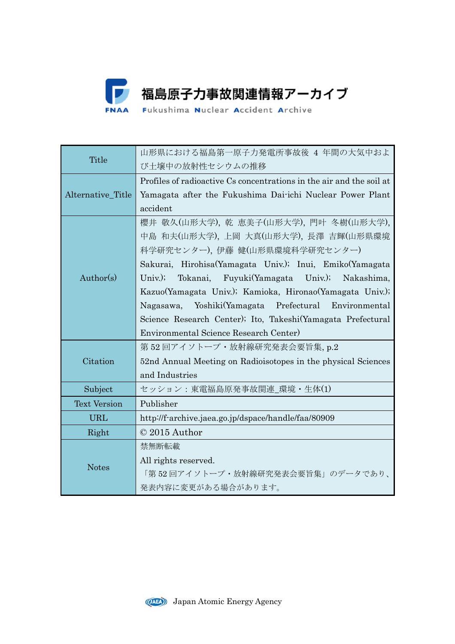

| Title               | 山形県における福島第一原子力発電所事故後 4 年間の大気中およ                                      |
|---------------------|----------------------------------------------------------------------|
|                     | び土壌中の放射性セシウムの推移                                                      |
| Alternative_Title   | Profiles of radioactive Cs concentrations in the air and the soil at |
|                     | Yamagata after the Fukushima Dai-ichi Nuclear Power Plant            |
|                     | accident                                                             |
| Author(s)           | 櫻井 敬久(山形大学), 乾 恵美子(山形大学), 門叶 冬樹(山形大学),                               |
|                     | 中島 和夫(山形大学), 上岡 大真(山形大学), 長澤 吉輝(山形県環境                                |
|                     | 科学研究センター), 伊藤 健(山形県環境科学研究センター)                                       |
|                     | Sakurai, Hirohisa(Yamagata Univ.); Inui, Emiko(Yamagata              |
|                     | Tokanai, Fuyuki(Yamagata Univ.); Nakashima,<br>$Univ.$ );            |
|                     | Kazuo(Yamagata Univ.); Kamioka, Hironao(Yamagata Univ.);             |
|                     | Yoshiki(Yamagata Prefectural Environmental<br>Nagasawa,              |
|                     | Science Research Center); Ito, Takeshi (Yamagata Prefectural         |
|                     | Environmental Science Research Center)                               |
| Citation            | 第52回アイソトープ·放射線研究発表会要旨集, p.2                                          |
|                     | 52nd Annual Meeting on Radioisotopes in the physical Sciences        |
|                     | and Industries                                                       |
| Subject             | セッション:東電福島原発事故関連_環境・生体(1)                                            |
| <b>Text Version</b> | Publisher                                                            |
| <b>URL</b>          | http://f-archive.jaea.go.jp/dspace/handle/faa/80909                  |
| Right               | © 2015 Author                                                        |
| <b>Notes</b>        | 禁無断転載                                                                |
|                     | All rights reserved.                                                 |
|                     | 「第52回アイソトープ・放射線研究発表会要旨集」のデータであり、                                     |
|                     | 発表内容に変更がある場合があります。                                                   |